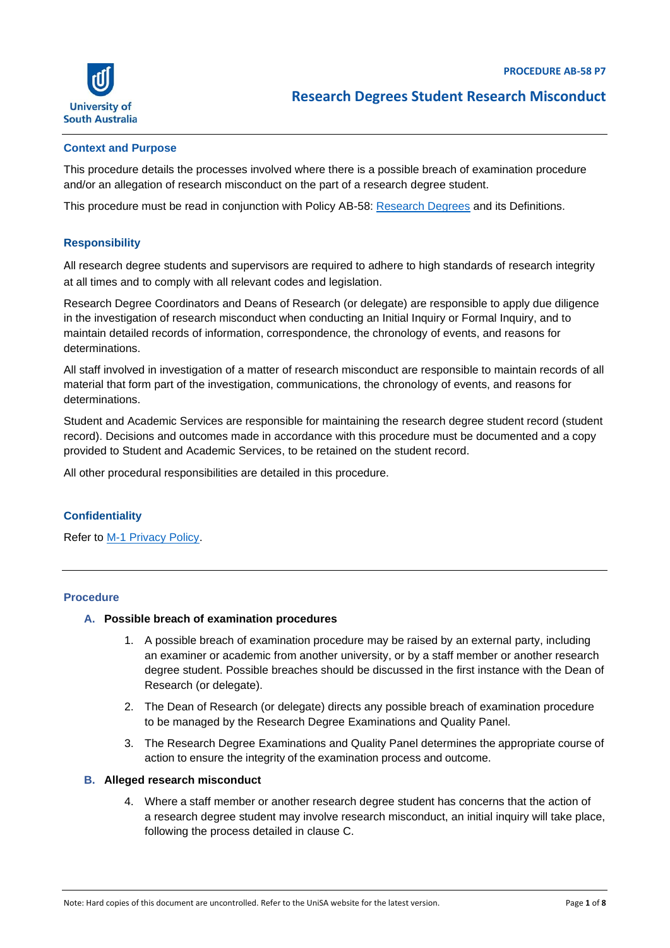

#### **Context and Purpose**

This procedure details the processes involved where there is a possible breach of examination procedure and/or an allegation of research misconduct on the part of a research degree student.

This procedure must be read in conjunction with Policy AB-58: [Research Degrees](https://i.unisa.edu.au/policies-and-procedures/university-policies/academic/ab-58/) and its Definitions.

## **Responsibility**

All research degree students and supervisors are required to adhere to high standards of research integrity at all times and to comply with all relevant codes and legislation.

Research Degree Coordinators and Deans of Research (or delegate) are responsible to apply due diligence in the investigation of research misconduct when conducting an Initial Inquiry or Formal Inquiry, and to maintain detailed records of information, correspondence, the chronology of events, and reasons for determinations.

All staff involved in investigation of a matter of research misconduct are responsible to maintain records of all material that form part of the investigation, communications, the chronology of events, and reasons for determinations.

Student and Academic Services are responsible for maintaining the research degree student record (student record). Decisions and outcomes made in accordance with this procedure must be documented and a copy provided to Student and Academic Services, to be retained on the student record.

All other procedural responsibilities are detailed in this procedure.

## **Confidentiality**

Refer to [M-1 Privacy Policy.](https://i.unisa.edu.au/policies-and-procedures/university-policies/hr/privacy-policy/)

## **Procedure**

## **A. Possible breach of examination procedures**

- 1. A possible breach of examination procedure may be raised by an external party, including an examiner or academic from another university, or by a staff member or another research degree student. Possible breaches should be discussed in the first instance with the Dean of Research (or delegate).
- 2. The Dean of Research (or delegate) directs any possible breach of examination procedure to be managed by the Research Degree Examinations and Quality Panel.
- 3. The Research Degree Examinations and Quality Panel determines the appropriate course of action to ensure the integrity of the examination process and outcome.

#### **B. Alleged research misconduct**

4. Where a staff member or another research degree student has concerns that the action of a research degree student may involve research misconduct, an initial inquiry will take place, following the process detailed in clause C.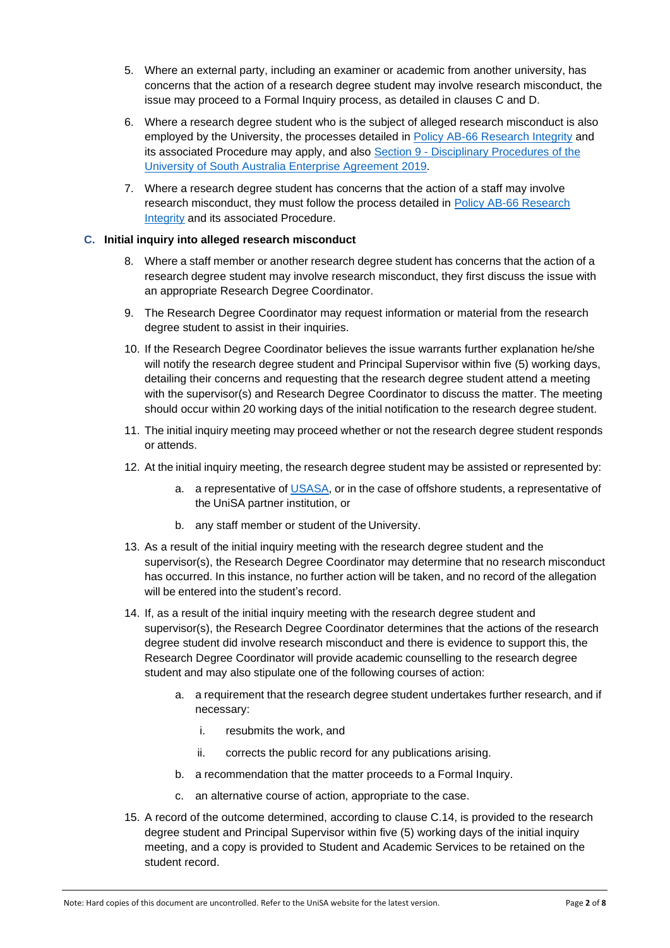- 5. Where an external party, including an examiner or academic from another university, has concerns that the action of a research degree student may involve research misconduct, the issue may proceed to a Formal Inquiry process, as detailed in clauses C and D.
- 6. Where a research degree student who is the subject of alleged research misconduct is also employed by the University, the processes detailed in [Policy AB-66 Research Integrity](https://i.unisa.edu.au/policies-and-procedures/university-policies/academic/ab-66-research-integrity-policy/ab-66-p1-research-integrity/) and its associated Procedure may apply, and also Section 9 - [Disciplinary Procedures of the](https://i.unisa.edu.au/staff/ptc/employment-conditions/enterprise-agreements/)  [University of South Australia Enterprise Agreement](https://i.unisa.edu.au/staff/ptc/employment-conditions/enterprise-agreements/) 2019.
- 7. Where a research degree student has concerns that the action of a staff may involve research misconduct, they must follow the process detailed in [Policy AB-66 Research](https://i.unisa.edu.au/policies-and-procedures/university-policies/academic/ab-66-research-integrity-policy/ab-66-p1-research-integrity/) **Integrity** [and its associated Procedure.](https://i.unisa.edu.au/policies-and-procedures/university-policies/academic/ab-66-research-integrity-policy/ab-66-p1-research-integrity/)

## **C. Initial inquiry into alleged research misconduct**

- 8. Where a staff member or another research degree student has concerns that the action of a research degree student may involve research misconduct, they first discuss the issue with an appropriate Research Degree Coordinator.
- 9. The Research Degree Coordinator may request information or material from the research degree student to assist in their inquiries.
- 10. If the Research Degree Coordinator believes the issue warrants further explanation he/she will notify the research degree student and Principal Supervisor within five (5) working days, detailing their concerns and requesting that the research degree student attend a meeting with the supervisor(s) and Research Degree Coordinator to discuss the matter. The meeting should occur within 20 working days of the initial notification to the research degree student.
- 11. The initial inquiry meeting may proceed whether or not the research degree student responds or attends.
- 12. At the initial inquiry meeting, the research degree student may be assisted or represented by:
	- a. a representative of [USASA,](https://usasa.sa.edu.au/) or in the case of offshore students, a representative of the UniSA partner institution, or
	- b. any staff member or student of the University.
- 13. As a result of the initial inquiry meeting with the research degree student and the supervisor(s), the Research Degree Coordinator may determine that no research misconduct has occurred. In this instance, no further action will be taken, and no record of the allegation will be entered into the student's record.
- 14. If, as a result of the initial inquiry meeting with the research degree student and supervisor(s), the Research Degree Coordinator determines that the actions of the research degree student did involve research misconduct and there is evidence to support this, the Research Degree Coordinator will provide academic counselling to the research degree student and may also stipulate one of the following courses of action:
	- a. a requirement that the research degree student undertakes further research, and if necessary:
		- i. resubmits the work, and
		- ii. corrects the public record for any publications arising.
	- b. a recommendation that the matter proceeds to a Formal Inquiry.
	- c. an alternative course of action, appropriate to the case.
- 15. A record of the outcome determined, according to clause C.14, is provided to the research degree student and Principal Supervisor within five (5) working days of the initial inquiry meeting, and a copy is provided to Student and Academic Services to be retained on the student record.

Note: Hard copies of this document are uncontrolled. Refer to the UniSA website for the latest version. Page **2** of **8**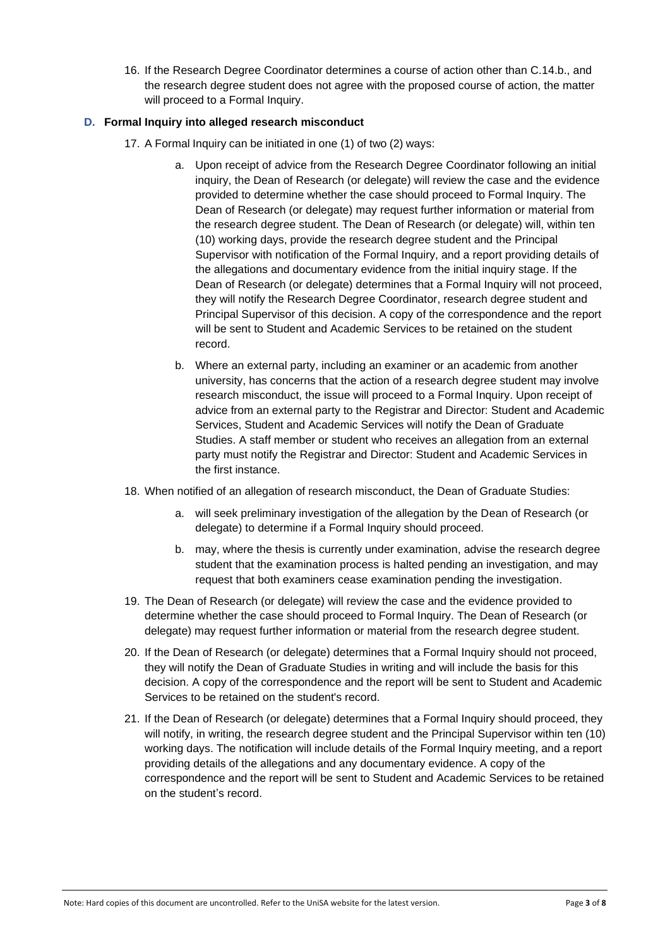16. If the Research Degree Coordinator determines a course of action other than C.14.b., and the research degree student does not agree with the proposed course of action, the matter will proceed to a Formal Inquiry.

## **D. Formal Inquiry into alleged research misconduct**

- 17. A Formal Inquiry can be initiated in one (1) of two (2) ways:
	- a. Upon receipt of advice from the Research Degree Coordinator following an initial inquiry, the Dean of Research (or delegate) will review the case and the evidence provided to determine whether the case should proceed to Formal Inquiry. The Dean of Research (or delegate) may request further information or material from the research degree student. The Dean of Research (or delegate) will, within ten (10) working days, provide the research degree student and the Principal Supervisor with notification of the Formal Inquiry, and a report providing details of the allegations and documentary evidence from the initial inquiry stage. If the Dean of Research (or delegate) determines that a Formal Inquiry will not proceed, they will notify the Research Degree Coordinator, research degree student and Principal Supervisor of this decision. A copy of the correspondence and the report will be sent to Student and Academic Services to be retained on the student record.
	- b. Where an external party, including an examiner or an academic from another university, has concerns that the action of a research degree student may involve research misconduct, the issue will proceed to a Formal Inquiry. Upon receipt of advice from an external party to the Registrar and Director: Student and Academic Services, Student and Academic Services will notify the Dean of Graduate Studies. A staff member or student who receives an allegation from an external party must notify the Registrar and Director: Student and Academic Services in the first instance.
- 18. When notified of an allegation of research misconduct, the Dean of Graduate Studies:
	- a. will seek preliminary investigation of the allegation by the Dean of Research (or delegate) to determine if a Formal Inquiry should proceed.
	- b. may, where the thesis is currently under examination, advise the research degree student that the examination process is halted pending an investigation, and may request that both examiners cease examination pending the investigation.
- 19. The Dean of Research (or delegate) will review the case and the evidence provided to determine whether the case should proceed to Formal Inquiry. The Dean of Research (or delegate) may request further information or material from the research degree student.
- 20. If the Dean of Research (or delegate) determines that a Formal Inquiry should not proceed, they will notify the Dean of Graduate Studies in writing and will include the basis for this decision. A copy of the correspondence and the report will be sent to Student and Academic Services to be retained on the student's record.
- 21. If the Dean of Research (or delegate) determines that a Formal Inquiry should proceed, they will notify, in writing, the research degree student and the Principal Supervisor within ten (10) working days. The notification will include details of the Formal Inquiry meeting, and a report providing details of the allegations and any documentary evidence. A copy of the correspondence and the report will be sent to Student and Academic Services to be retained on the student's record.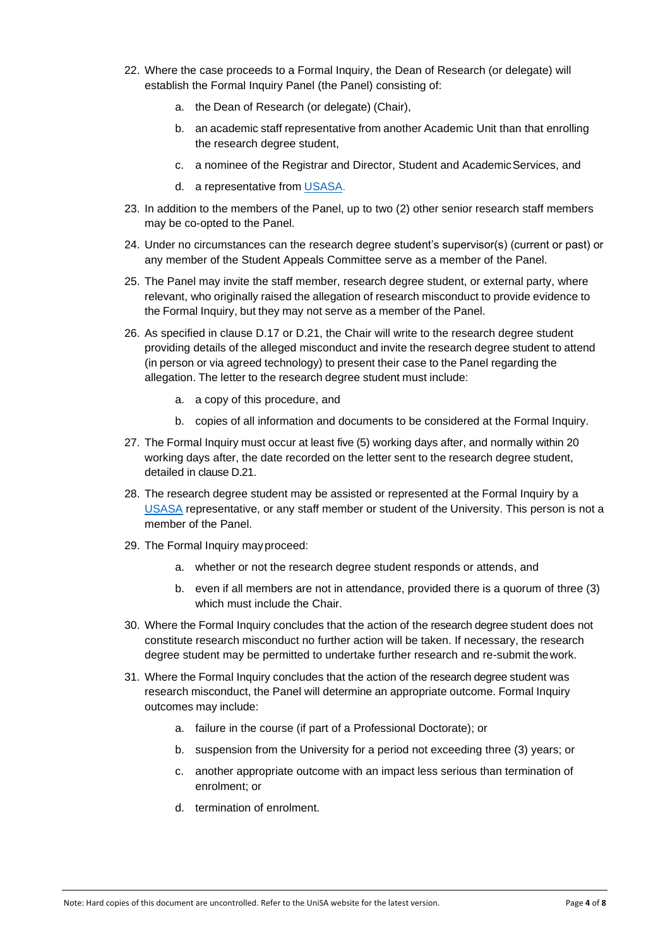- 22. Where the case proceeds to a Formal Inquiry, the Dean of Research (or delegate) will establish the Formal Inquiry Panel (the Panel) consisting of:
	- a. the Dean of Research (or delegate) (Chair),
	- b. an academic staff representative from another Academic Unit than that enrolling the research degree student,
	- c. a nominee of the Registrar and Director, Student and AcademicServices, and
	- d. a representative from [USASA.](https://usasa.sa.edu.au/)
- 23. In addition to the members of the Panel, up to two (2) other senior research staff members may be co-opted to the Panel.
- 24. Under no circumstances can the research degree student's supervisor(s) (current or past) or any member of the Student Appeals Committee serve as a member of the Panel.
- 25. The Panel may invite the staff member, research degree student, or external party, where relevant, who originally raised the allegation of research misconduct to provide evidence to the Formal Inquiry, but they may not serve as a member of the Panel.
- 26. As specified in clause D.17 or D.21, the Chair will write to the research degree student providing details of the alleged misconduct and invite the research degree student to attend (in person or via agreed technology) to present their case to the Panel regarding the allegation. The letter to the research degree student must include:
	- a. a copy of this procedure, and
	- b. copies of all information and documents to be considered at the Formal Inquiry.
- 27. The Formal Inquiry must occur at least five (5) working days after, and normally within 20 working days after, the date recorded on the letter sent to the research degree student, detailed in clause D.21.
- 28. The research degree student may be assisted or represented at the Formal Inquiry by a [USASA](https://usasa.sa.edu.au/) representative, or any staff member or student of the University. This person is not a member of the Panel.
- 29. The Formal Inquiry mayproceed:
	- a. whether or not the research degree student responds or attends, and
	- b. even if all members are not in attendance, provided there is a quorum of three (3) which must include the Chair.
- 30. Where the Formal Inquiry concludes that the action of the research degree student does not constitute research misconduct no further action will be taken. If necessary, the research degree student may be permitted to undertake further research and re-submit thework.
- 31. Where the Formal Inquiry concludes that the action of the research degree student was research misconduct, the Panel will determine an appropriate outcome. Formal Inquiry outcomes may include:
	- a. failure in the course (if part of a Professional Doctorate); or
	- b. suspension from the University for a period not exceeding three (3) years; or
	- c. another appropriate outcome with an impact less serious than termination of enrolment; or
	- d. termination of enrolment.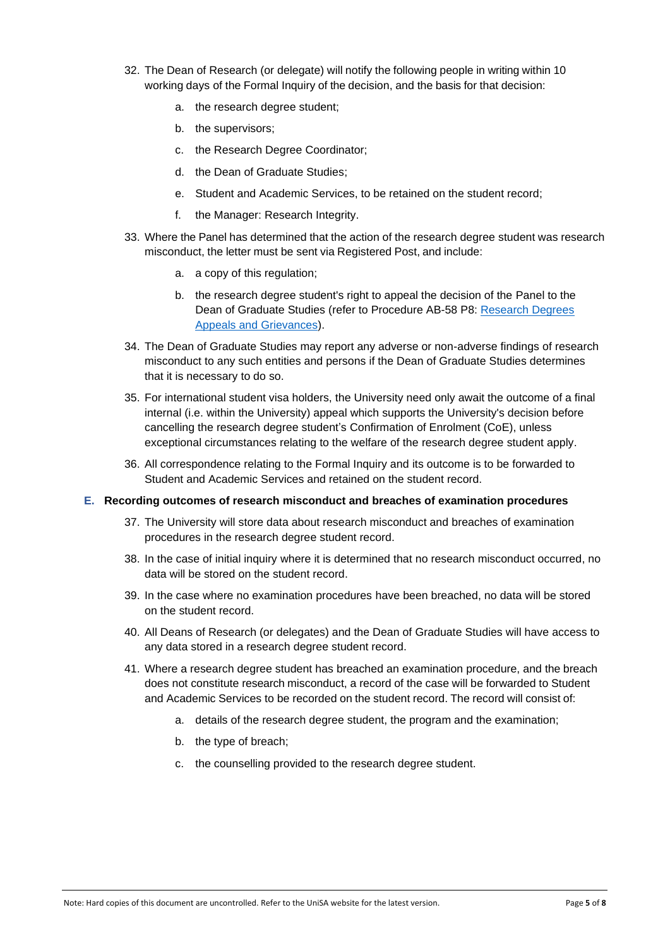- 32. The Dean of Research (or delegate) will notify the following people in writing within 10 working days of the Formal Inquiry of the decision, and the basis for that decision:
	- a. the research degree student;
	- b. the supervisors;
	- c. the Research Degree Coordinator;
	- d. the Dean of Graduate Studies;
	- e. Student and Academic Services, to be retained on the student record;
	- f. the Manager: Research Integrity.
- 33. Where the Panel has determined that the action of the research degree student was research misconduct, the letter must be sent via Registered Post, and include:
	- a. a copy of this regulation;
	- b. the research degree student's right to appeal the decision of the Panel to the Dean of Graduate Studies (refer to Procedure AB-58 P8: [Research Degrees](https://i.unisa.edu.au/policies-and-procedures/university-policies/academic/ab-58/ab-58-p8)  [Appeals and Grievances\)](https://i.unisa.edu.au/policies-and-procedures/university-policies/academic/ab-58/ab-58-p8).
- 34. The Dean of Graduate Studies may report any adverse or non-adverse findings of research misconduct to any such entities and persons if the Dean of Graduate Studies determines that it is necessary to do so.
- 35. For international student visa holders, the University need only await the outcome of a final internal (i.e. within the University) appeal which supports the University's decision before cancelling the research degree student's Confirmation of Enrolment (CoE), unless exceptional circumstances relating to the welfare of the research degree student apply.
- 36. All correspondence relating to the Formal Inquiry and its outcome is to be forwarded to Student and Academic Services and retained on the student record.

#### **E. Recording outcomes of research misconduct and breaches of examination procedures**

- 37. The University will store data about research misconduct and breaches of examination procedures in the research degree student record.
- 38. In the case of initial inquiry where it is determined that no research misconduct occurred, no data will be stored on the student record.
- 39. In the case where no examination procedures have been breached, no data will be stored on the student record.
- 40. All Deans of Research (or delegates) and the Dean of Graduate Studies will have access to any data stored in a research degree student record.
- 41. Where a research degree student has breached an examination procedure, and the breach does not constitute research misconduct, a record of the case will be forwarded to Student and Academic Services to be recorded on the student record. The record will consist of:
	- a. details of the research degree student, the program and the examination;
	- b. the type of breach;
	- c. the counselling provided to the research degree student.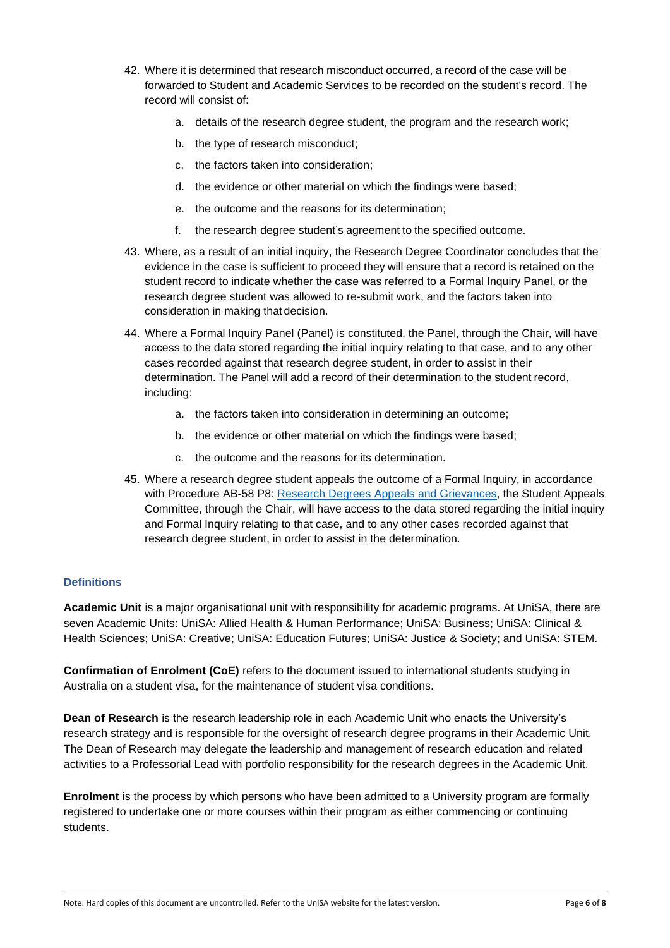- 42. Where it is determined that research misconduct occurred, a record of the case will be forwarded to Student and Academic Services to be recorded on the student's record. The record will consist of:
	- a. details of the research degree student, the program and the research work;
	- b. the type of research misconduct;
	- c. the factors taken into consideration;
	- d. the evidence or other material on which the findings were based;
	- e. the outcome and the reasons for its determination;
	- f. the research degree student's agreement to the specified outcome.
- 43. Where, as a result of an initial inquiry, the Research Degree Coordinator concludes that the evidence in the case is sufficient to proceed they will ensure that a record is retained on the student record to indicate whether the case was referred to a Formal Inquiry Panel, or the research degree student was allowed to re-submit work, and the factors taken into consideration in making that decision.
- 44. Where a Formal Inquiry Panel (Panel) is constituted, the Panel, through the Chair, will have access to the data stored regarding the initial inquiry relating to that case, and to any other cases recorded against that research degree student, in order to assist in their determination. The Panel will add a record of their determination to the student record, including:
	- a. the factors taken into consideration in determining an outcome;
	- b. the evidence or other material on which the findings were based;
	- c. the outcome and the reasons for its determination.
- 45. Where a research degree student appeals the outcome of a Formal Inquiry, in accordance with Procedure AB-58 P8: [Research Degrees Appeals and Grievances,](https://i.unisa.edu.au/policies-and-procedures/university-policies/academic/ab-58/ab-58-p8) the Student Appeals Committee, through the Chair, will have access to the data stored regarding the initial inquiry and Formal Inquiry relating to that case, and to any other cases recorded against that research degree student, in order to assist in the determination.

# **Definitions**

**Academic Unit** is a major organisational unit with responsibility for academic programs. At UniSA, there are seven Academic Units: UniSA: Allied Health & Human Performance; UniSA: Business; UniSA: Clinical & Health Sciences; UniSA: Creative; UniSA: Education Futures; UniSA: Justice & Society; and UniSA: STEM.

**Confirmation of Enrolment (CoE)** refers to the document issued to international students studying in Australia on a student visa, for the maintenance of student visa conditions.

**Dean of Research** is the research leadership role in each Academic Unit who enacts the University's research strategy and is responsible for the oversight of research degree programs in their Academic Unit. The Dean of Research may delegate the leadership and management of research education and related activities to a Professorial Lead with portfolio responsibility for the research degrees in the Academic Unit.

**Enrolment** is the process by which persons who have been admitted to a University program are formally registered to undertake one or more courses within their program as either commencing or continuing students.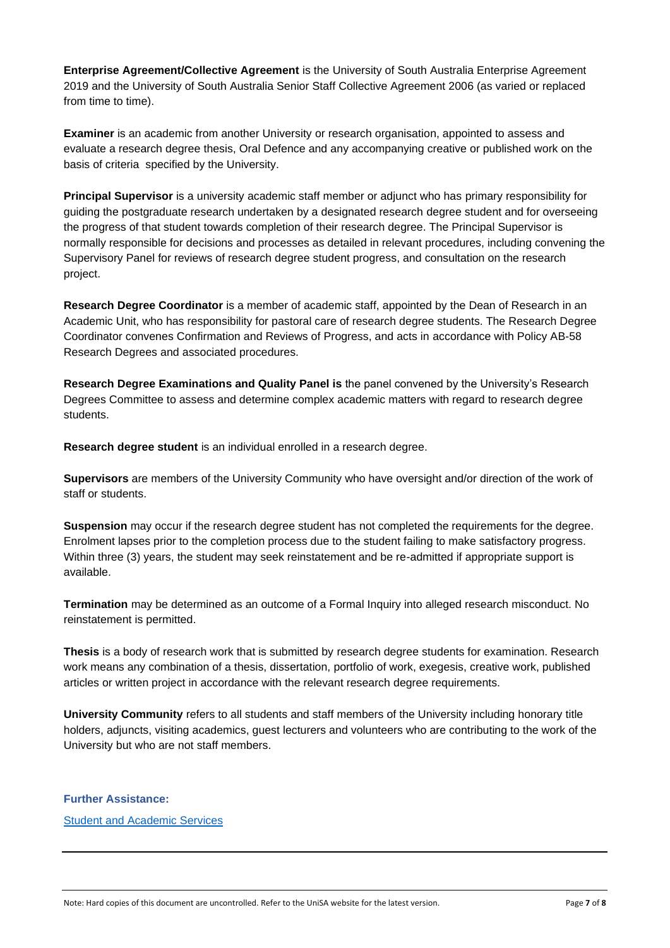**Enterprise Agreement/Collective Agreement** is the University of South Australia Enterprise Agreement 2019 and the University of South Australia Senior Staff Collective Agreement 2006 (as varied or replaced from time to time).

**Examiner** is an academic from another University or research organisation, appointed to assess and evaluate a research degree thesis, Oral Defence and any accompanying creative or published work on the basis of criteria specified by the University.

**Principal Supervisor** is a university academic staff member or adjunct who has primary responsibility for guiding the postgraduate research undertaken by a designated research degree student and for overseeing the progress of that student towards completion of their research degree. The Principal Supervisor is normally responsible for decisions and processes as detailed in relevant procedures, including convening the Supervisory Panel for reviews of research degree student progress, and consultation on the research project.

**Research Degree Coordinator** is a member of academic staff, appointed by the Dean of Research in an Academic Unit, who has responsibility for pastoral care of research degree students. The Research Degree Coordinator convenes Confirmation and Reviews of Progress, and acts in accordance with Policy AB-58 Research Degrees and associated procedures.

**Research Degree Examinations and Quality Panel is** the panel convened by the University's Research Degrees Committee to assess and determine complex academic matters with regard to research degree students.

**Research degree student** is an individual enrolled in a research degree.

**Supervisors** are members of the University Community who have oversight and/or direction of the work of staff or students.

**Suspension** may occur if the research degree student has not completed the requirements for the degree. Enrolment lapses prior to the completion process due to the student failing to make satisfactory progress. Within three (3) years, the student may seek reinstatement and be re-admitted if appropriate support is available.

**Termination** may be determined as an outcome of a Formal Inquiry into alleged research misconduct. No reinstatement is permitted.

**Thesis** is a body of research work that is submitted by research degree students for examination. Research work means any combination of a thesis, dissertation, portfolio of work, exegesis, creative work, published articles or written project in accordance with the relevant research degree requirements.

**University Community** refers to all students and staff members of the University including honorary title holders, adjuncts, visiting academics, guest lecturers and volunteers who are contributing to the work of the University but who are not staff members.

## **Further Assistance:**

[Student and Academic Services](https://i.unisa.edu.au/students/research-students/contact-the-graduate-research-team/)